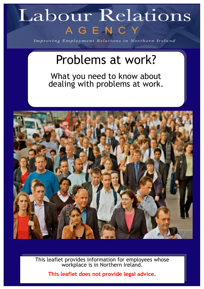# Labour Relations AGENCY

Improving Employment Relations in Northern Ireland

# Problems at work?

What you need to know about dealing with problems at work.



This leaflet provides information for employees whose workplace is in Northern Ireland.

**This leaflet does not provide legal advice.**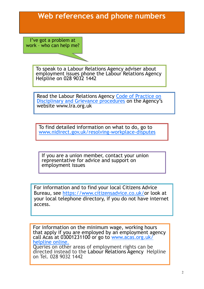# **Web references and phone numbers**

I've got a problem at work – who can help me?

> To speak to a Labour Relations Agency adviser about employment issues phone the Labour Relations Agency Helpline on 028 9032 1442

> Read the Labour Relations Agency Code of Practice on [Disciplinary and Grievance procedures](https://www.lra.org.uk/publications/agency-publications/advice-and-guidance-on-employment-matters/codes-of-practice/disciplinary-and-grievance-procedures-3rd-april-2011) on the Agency's website www.lra.org.uk

To find detailed information on what to do, go to [www.nidirect.gov.uk/resolving](https://www.nidirect.gov.uk/information-and-services/employment/resolving-workplace-disputes)-workplace-disputes

If you are a union member, contact your union representative for advice and support on employment issues

For information and to find your local Citizens Advice Bureau, see [https://www.citizensadvice.co.uk/o](https://www.citizensadvice.co.uk/)r look at your local telephone directory, if you do not have internet access.

For information on the minimum wage, working hours that apply if you are employed by an employment agency call Acas at 03001231100 or go to [www.acas.org.uk/](http://www.acas.org.uk/index.aspx?articleid=4489) [helpline online.](http://www.acas.org.uk/index.aspx?articleid=4489) Queries on other areas of employment rights can be

directed instead to the Labour Relations Agency Helpline on Tel. 028 9032 1442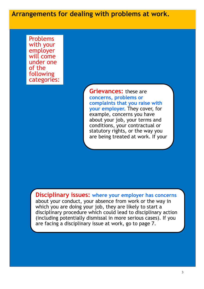**Arrangements for dealing with problems at work.**

Problems with your employer will come under one of the following categories:

> **Grievances:** these are **concerns, problems or complaints that you raise with your employer.** They cover, for example, concerns you have about your job, your terms and conditions, your contractual or statutory rights, or the way you are being treated at work. If your

**Disciplinary issues: where your employer has concerns**  about your conduct, your absence from work or the way in

which you are doing your job, they are likely to start a disciplinary procedure which could lead to disciplinary action (including potentially dismissal in more serious cases). If you are facing a disciplinary issue at work, go to page 7.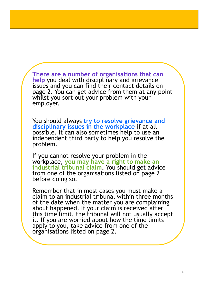**There are a number of organisations that can help** you deal with disciplinary and grievance issues and you can find their contact details on page 2. You can get advice from them at any point whilst you sort out your problem with your employer.

You should always **try to resolve grievance and disciplinary issues in the workplace** if at all possible. It can also sometimes help to use an independent third party to help you resolve the problem.

If you cannot resolve your problem in the workplace, **you may have a right to make an industrial tribunal claim.** You should get advice from one of the organisations listed on page 2 before doing so.

Remember that in most cases you must make a claim to an industrial tribunal within three months of the date when the matter you are complaining about happened. If your claim is received after this time limit, the tribunal will not usually accept it. If you are worried about how the time limits apply to you, take advice from one of the organisations listed on page 2.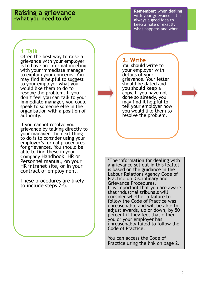#### **Raising a grievance -what you need to do\***

**Remember:** when dealing with your grievance – it is always a good idea to keep a note of exactly what happens and when.

#### **1.Talk**

Often the best way to raise a grievance with your employer is to have an informal meeting with your immediate manager to explain your concerns. You may find it helpful to suggest to your employer what you would like them to do to resolve the problem. If you don't feel you can talk to your immediate manager, you could speak to someone else in the organisation with a position of authority.

If you cannot resolve your grievance by talking directly to your manager, the next thing to do is to consider using your employer's formal procedures for grievances. You should be able to find these in your Company Handbook, HR or Personnel manual, on your HR intranet site, or in your contract of employment.

These procedures are likely to include steps 2-5.

# **2. Write**

You should write to your employer with details of your grievance. Your letter should be dated and you should keep a copy. If you have not done so already, you may find it helpful to tell your employer how you would like them to resolve the problem.

\*The information for dealing with a grievance set out in this leaflet is based on the guidance in the Labour Relations Agency Code of Practice on Disciplinary and Grievance Procedures. It is important that you are aware that industrial tribunals will consider whether a failure to follow the Code of Practice was unreasonable and will be able to adjust awards, up or down, by 50 percent if they feel that either you or your employer has unreasonably failed to follow the Code of Practice.

You can access the Code of Practice using the link on page 2.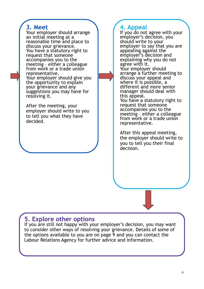### **3. Meet**

Your employer should arrange an initial meeting at a reasonable time and place to discuss your grievance. You have a statutory right to request that someone accompanies you to the meeting – either a colleague from work or a trade union representative. Your employer should give you the opportunity to explain your grievance and any suggestions you may have for resolving it.

After the meeting, your employer should write to you to tell you what they have decided.

### **4. Appeal**

If you do not agree with your employer's decision, you should write to your employer to say that you are appealing against the employer's decision and explaining why you do not agree with it. Your employer should arrange a further meeting to discuss your appeal and where it is possible, a different and more senior manager should deal with this appeal. You have a statutory right to request that someone

accompanies you to the meeting – either a colleague from work or a trade union representative.

After this appeal meeting, the employer should write to you to tell you their final decision.

# **5. Explore other options**

If you are still not happy with your employer's decision, you may want to consider other ways of resolving your grievance. Details of some of the options available to you are on page 9 and you can contact the Labour Relations Agency for further advice and information.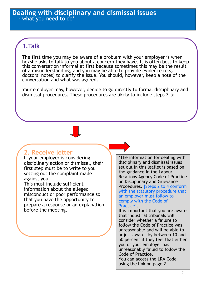# **1.Talk**

The first time you may be aware of a problem with your employer is when he/she asks to talk to you about a concern they have. It is often best to keep this conversation informal at first because sometimes this may be the result of a misunderstanding, and you may be able to provide evidence (e.g. doctors' notes) to clarify the issue. You should, however, keep a note of the conversation and what was agreed.

Your employer may, however, decide to go directly to formal disciplinary and dismissal procedures. These procedures are likely to include steps 2-5:

#### **2. Receive letter**

If your employer is considering disciplinary action or dismissal, their first step must be to write to you setting out the complaint made against you.

This must include sufficient information about the alleged misconduct or poor performance so that you have the opportunity to prepare a response or an explanation before the meeting.

\*The information for dealing with disciplinary and dismissal issues set out in this leaflet is based on the guidance in the Labour Relations Agency Code of Practice on Disciplinary and Grievance Procedures. [Steps 2 to 4 conform with the statutory procedure that an employer must follow to comply with the Code of Practice].

It is important that you are aware that industrial tribunals will consider whether a failure to follow the Code of Practice was unreasonable and will be able to adjust awards by between 10 and 50 percent if they feel that either you or your employer has unreasonably failed to follow the Code of Practice. You can access the LRA Code using the link on page 2.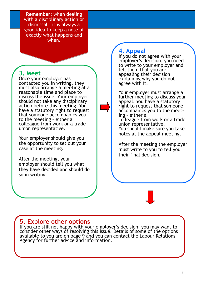**Remember:** when dealing with a disciplinary action or dismissal – it is always a good idea to keep a note of exactly what happens and when.

#### **3. Meet**

Once your employer has contacted you in writing, they must also arrange a meeting at a reasonable time and place to discuss the issue. Your employer should not take any disciplinary action before this meeting. You have a statutory right to request that someone accompanies you to the meeting – either a colleague from work or a trade union representative.

Your employer should give you the opportunity to set out your case at the meeting.

After the meeting, your employer should tell you what they have decided and should do so in writing.

# **4. Appeal**

If you do not agree with your employer's decision, you need to write to your employer and tell them that you are appealing their decision explaining why you do not agree with it.

Your employer must arrange a further meeting to discuss your appeal. You have a statutory right to request that someone accompanies you to the meeting – either a colleague from work or a trade union representative. You should make sure you take notes at the appeal meeting.

After the meeting the employer must write to you to tell you their final decision.

### **5. Explore other options**

If you are still not happy with your employer's decision, you may want to consider other ways of resolving this issue. Details of some of the options available to you are on page 9 and you can contact the Labour Relations Agency for further advice and information.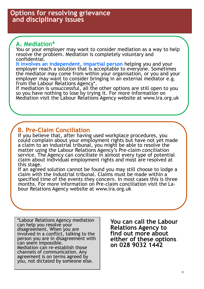# **A. Mediation\***

You or your employer may want to consider mediation as a way to help resolve the problem. Mediation is completely voluntary and confidential.

**It involves an independent, impartial person** helping you and your employer reach a solution that is acceptable to everyone. Sometimes the mediator may come from within your organisation, or you and your employer may want to consider bringing in an external mediator e.g. from the Labour Relations Agency\*.

If mediation is unsuccessful, all the other options are still open to you so you have nothing to lose by trying it. For more information on Mediation visit the Labour Relations Agency website at www.lra.org.uk

# **B. Pre-Claim Conciliation**

If you believe that, after having used workplace procedures, you could complain about your employment rights but have not yet made a claim to an industrial tribunal, you might be able to resolve the matter using the Labour Relations Agency's Pre-claim conciliation service. The Agency can conciliate in almost every type of potential claim about individual employment rights and most are resolved at this stage.

If an agreed solution cannot be found you may still choose to lodge a claim with the industrial tribunal. Claims must be made within a specified time of the events they concern. In most cases this is three months. For more information on Pre-claim conciliation visit the Labour Relations Agency website at www.lra.org.uk

\*Labour Relations Agency mediation can help you resolve your disagreement. When you are involved in a conflict, talking to the person you are in disagreement with can seem impossible. Mediation can re-establish those channels of communication. Any agreement is on terms agreed by you, not dictated by someone else.

**You can call the Labour Relations Agency to find out more about either of these options on 028 9032 1442**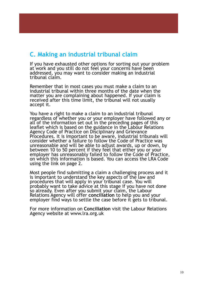### **C. Making an industrial tribunal claim**

If you have exhausted other options for sorting out your problem at work and you still do not feel your concerns have been addressed, you may want to consider making an industrial tribunal claim.

Remember that in most cases you must make a claim to an industrial tribunal within three months of the date when the matter you are complaining about happened. If your claim is received after this time limit, the tribunal will not usually accept it.

You have a right to make a claim to an industrial tribunal regardless of whether you or your employer have followed any or all of the information set out in the preceding pages of this leaflet which is based on the guidance in the Labour Relations Agency Code of Practice on Disciplinary and Grievance Procedures. It is important to be aware, industrial tribunals will consider whether a failure to follow the Code of Practice was unreasonable and will be able to adjust awards, up or down, by between 10 to 50 percent if they feel that either you or your employer has unreasonably failed to follow the Code of Practice, on which this information is based. You can access the LRA Code using the link on page 2.

Most people find submitting a claim a challenging process and it is important to understand the key aspects of the law and procedures that will apply in your tribunal case. You will probably want to take advice at this stage if you have not done so already. Even after you submit your claim, the Labour Relations Agency will offer **conciliation** to help you and your employer find ways to settle the case before it gets to tribunal.

For more information on **Conciliation** visit the Labour Relations Agency website at www.lra.org.uk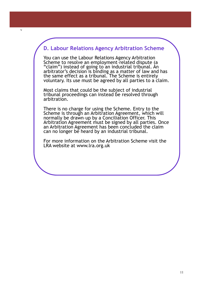#### **D. Labour Relations Agency Arbitration Scheme**

v

You can use the Labour Relations Agency Arbitration Scheme to resolve an employment–related dispute (a "claim") instead of going to an industrial tribunal. An arbitrator's decision is binding as a matter of law and has the same effect as a tribunal. The Scheme is entirely voluntary. Its use must be agreed by all parties to a claim.

Most claims that could be the subject of industrial tribunal proceedings can instead be resolved through arbitration.

There is no charge for using the Scheme. Entry to the Scheme is through an Arbitration Agreement, which will normally be drawn–up by a Conciliation Officer. This Arbitration Agreement must be signed by all parties. Once an Arbitration Agreement has been concluded the claim can no longer be heard by an industrial tribunal.

For more information on the Arbitration Scheme visit the LRA website at www.lra.org.uk